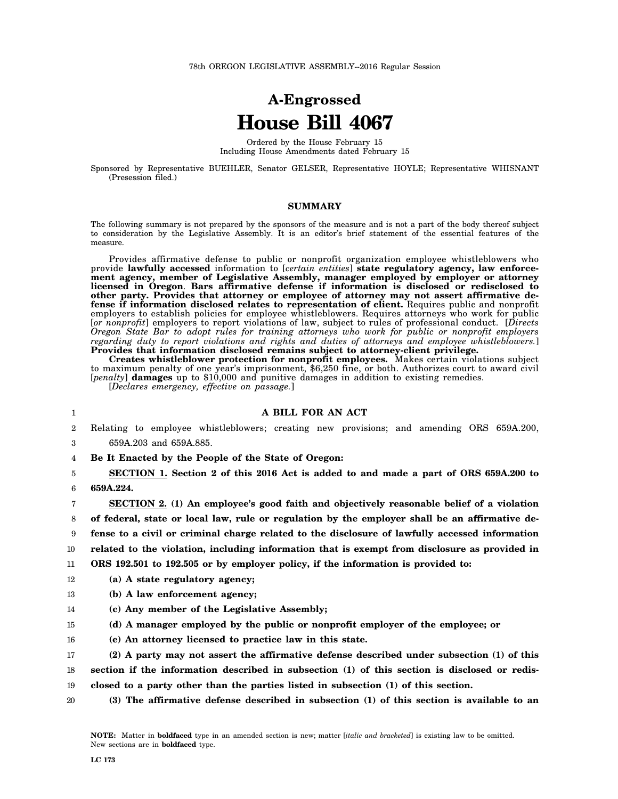# **A-Engrossed House Bill 4067**

Ordered by the House February 15 Including House Amendments dated February 15

Sponsored by Representative BUEHLER, Senator GELSER, Representative HOYLE; Representative WHISNANT (Presession filed.)

#### **SUMMARY**

The following summary is not prepared by the sponsors of the measure and is not a part of the body thereof subject to consideration by the Legislative Assembly. It is an editor's brief statement of the essential features of the measure.

Provides affirmative defense to public or nonprofit organization employee whistleblowers who provide **lawfully accessed** information to [*certain entities*] **state regulatory agency, law enforcement agency, member of Legislative Assembly, manager employed by employer or attorney licensed in Oregon**. **Bars affirmative defense if information is disclosed or redisclosed to other party. Provides that attorney or employee of attorney may not assert affirmative defense if information disclosed relates to representation of client.** Requires public and nonprofit employers to establish policies for employee whistleblowers. Requires attorneys who work for public [*or nonprofit*] employers to report violations of law, subject to rules of professional conduct. [*Directs Oregon State Bar to adopt rules for training attorneys who work for public or nonprofit employers regarding duty to report violations and rights and duties of attorneys and employee whistleblowers.*] **Provides that information disclosed remains subject to attorney-client privilege.**

**Creates whistleblower protection for nonprofit employees.** Makes certain violations subject to maximum penalty of one year's imprisonment, \$6,250 fine, or both. Authorizes court to award civil [*penalty*] **damages** up to \$10,000 and punitive damages in addition to existing remedies.

[*Declares emergency, effective on passage.*]

#### **A BILL FOR AN ACT**

2 3 Relating to employee whistleblowers; creating new provisions; and amending ORS 659A.200, 659A.203 and 659A.885.

4 **Be It Enacted by the People of the State of Oregon:**

5 6 **SECTION 1. Section 2 of this 2016 Act is added to and made a part of ORS 659A.200 to 659A.224.**

7 **SECTION 2. (1) An employee's good faith and objectively reasonable belief of a violation**

1

8 9 10 **of federal, state or local law, rule or regulation by the employer shall be an affirmative defense to a civil or criminal charge related to the disclosure of lawfully accessed information related to the violation, including information that is exempt from disclosure as provided in**

11 **ORS 192.501 to 192.505 or by employer policy, if the information is provided to:**

- 12 **(a) A state regulatory agency;**
- 13 **(b) A law enforcement agency;**
- 14 **(c) Any member of the Legislative Assembly;**
- 15 **(d) A manager employed by the public or nonprofit employer of the employee; or**
- 16 **(e) An attorney licensed to practice law in this state.**

17 **(2) A party may not assert the affirmative defense described under subsection (1) of this**

18 **section if the information described in subsection (1) of this section is disclosed or redis-**

19 **closed to a party other than the parties listed in subsection (1) of this section.**

20 **(3) The affirmative defense described in subsection (1) of this section is available to an**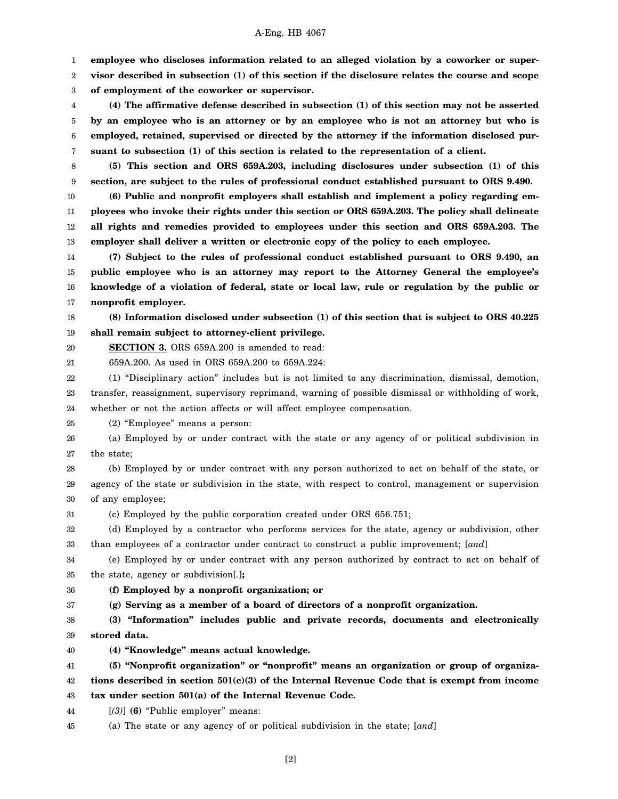1 **employee who discloses information related to an alleged violation by a coworker or super-**

2 3 **visor described in subsection (1) of this section if the disclosure relates the course and scope of employment of the coworker or supervisor.**

- 4 5 6 7 **(4) The affirmative defense described in subsection (1) of this section may not be asserted by an employee who is an attorney or by an employee who is not an attorney but who is employed, retained, supervised or directed by the attorney if the information disclosed pursuant to subsection (1) of this section is related to the representation of a client.**
- 8 9 **(5) This section and ORS 659A.203, including disclosures under subsection (1) of this section, are subject to the rules of professional conduct established pursuant to ORS 9.490.**

10 11 12 13 **(6) Public and nonprofit employers shall establish and implement a policy regarding employees who invoke their rights under this section or ORS 659A.203. The policy shall delineate all rights and remedies provided to employees under this section and ORS 659A.203. The employer shall deliver a written or electronic copy of the policy to each employee.**

14 15 16 17 **(7) Subject to the rules of professional conduct established pursuant to ORS 9.490, an public employee who is an attorney may report to the Attorney General the employee's knowledge of a violation of federal, state or local law, rule or regulation by the public or nonprofit employer.**

18 19 **(8) Information disclosed under subsection (1) of this section that is subject to ORS 40.225 shall remain subject to attorney-client privilege.**

20 **SECTION 3.** ORS 659A.200 is amended to read:

21 659A.200. As used in ORS 659A.200 to 659A.224:

22 23 24 (1) "Disciplinary action" includes but is not limited to any discrimination, dismissal, demotion, transfer, reassignment, supervisory reprimand, warning of possible dismissal or withholding of work, whether or not the action affects or will affect employee compensation.

25 (2) "Employee" means a person:

26 27 (a) Employed by or under contract with the state or any agency of or political subdivision in the state;

28 29 30 (b) Employed by or under contract with any person authorized to act on behalf of the state, or agency of the state or subdivision in the state, with respect to control, management or supervision of any employee;

31 (c) Employed by the public corporation created under ORS 656.751;

32 33 (d) Employed by a contractor who performs services for the state, agency or subdivision, other than employees of a contractor under contract to construct a public improvement; [*and*]

34 35 (e) Employed by or under contract with any person authorized by contract to act on behalf of the state, agency or subdivision[*.*]**;**

36 **(f) Employed by a nonprofit organization; or**

37 **(g) Serving as a member of a board of directors of a nonprofit organization.**

38 39 **(3) "Information" includes public and private records, documents and electronically stored data.**

40 **(4) "Knowledge" means actual knowledge.**

41 42 43 **(5) "Nonprofit organization" or "nonprofit" means an organization or group of organizations described in section 501(c)(3) of the Internal Revenue Code that is exempt from income tax under section 501(a) of the Internal Revenue Code.**

- 44 [*(3)*] **(6)** "Public employer" means:
- 45 (a) The state or any agency of or political subdivision in the state; [*and*]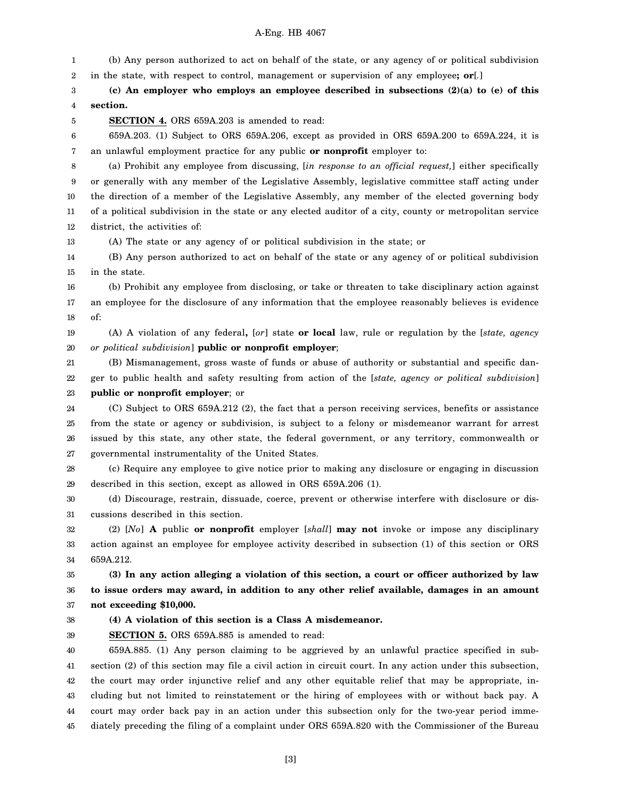#### A-Eng. HB 4067

1 2 (b) Any person authorized to act on behalf of the state, or any agency of or political subdivision in the state, with respect to control, management or supervision of any employee**; or**[*.*]

3 4 **(c) An employer who employs an employee described in subsections (2)(a) to (e) of this section.**

5 **SECTION 4.** ORS 659A.203 is amended to read:

6 7 659A.203. (1) Subject to ORS 659A.206, except as provided in ORS 659A.200 to 659A.224, it is an unlawful employment practice for any public **or nonprofit** employer to:

8 9 10 11 12 (a) Prohibit any employee from discussing, [*in response to an official request,*] either specifically or generally with any member of the Legislative Assembly, legislative committee staff acting under the direction of a member of the Legislative Assembly, any member of the elected governing body of a political subdivision in the state or any elected auditor of a city, county or metropolitan service district, the activities of:

13 (A) The state or any agency of or political subdivision in the state; or

14 15 (B) Any person authorized to act on behalf of the state or any agency of or political subdivision in the state.

16 17 18 (b) Prohibit any employee from disclosing, or take or threaten to take disciplinary action against an employee for the disclosure of any information that the employee reasonably believes is evidence of:

19

20 (A) A violation of any federal**,** [*or*] state **or local** law, rule or regulation by the [*state, agency or political subdivision*] **public or nonprofit employer**;

21 22 23 (B) Mismanagement, gross waste of funds or abuse of authority or substantial and specific danger to public health and safety resulting from action of the [*state, agency or political subdivision*] **public or nonprofit employer**; or

24 25 26 27 (C) Subject to ORS 659A.212 (2), the fact that a person receiving services, benefits or assistance from the state or agency or subdivision, is subject to a felony or misdemeanor warrant for arrest issued by this state, any other state, the federal government, or any territory, commonwealth or governmental instrumentality of the United States.

28 29 (c) Require any employee to give notice prior to making any disclosure or engaging in discussion described in this section, except as allowed in ORS 659A.206 (1).

30 31 (d) Discourage, restrain, dissuade, coerce, prevent or otherwise interfere with disclosure or discussions described in this section.

32 33 34 (2) [*No*] **A** public **or nonprofit** employer [*shall*] **may not** invoke or impose any disciplinary action against an employee for employee activity described in subsection (1) of this section or ORS 659A.212.

35 36 37 **(3) In any action alleging a violation of this section, a court or officer authorized by law to issue orders may award, in addition to any other relief available, damages in an amount not exceeding \$10,000.**

38

## **(4) A violation of this section is a Class A misdemeanor.**

39 **SECTION 5.** ORS 659A.885 is amended to read:

40 41 42 43 44 45 659A.885. (1) Any person claiming to be aggrieved by an unlawful practice specified in subsection (2) of this section may file a civil action in circuit court. In any action under this subsection, the court may order injunctive relief and any other equitable relief that may be appropriate, including but not limited to reinstatement or the hiring of employees with or without back pay. A court may order back pay in an action under this subsection only for the two-year period immediately preceding the filing of a complaint under ORS 659A.820 with the Commissioner of the Bureau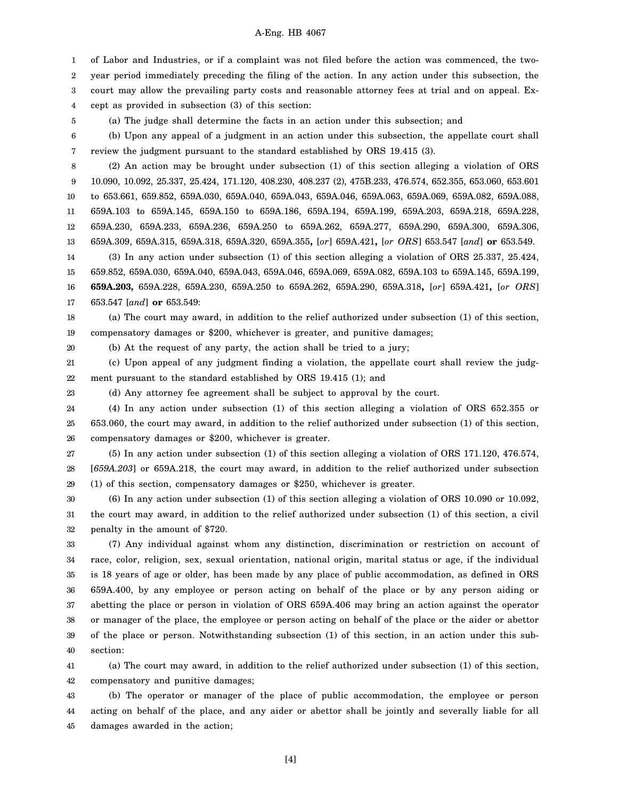#### A-Eng. HB 4067

1 2 3 of Labor and Industries, or if a complaint was not filed before the action was commenced, the twoyear period immediately preceding the filing of the action. In any action under this subsection, the court may allow the prevailing party costs and reasonable attorney fees at trial and on appeal. Ex-

4 cept as provided in subsection (3) of this section:

5

20

23

(a) The judge shall determine the facts in an action under this subsection; and

6 7 (b) Upon any appeal of a judgment in an action under this subsection, the appellate court shall review the judgment pursuant to the standard established by ORS 19.415 (3).

8 9 10 11 12 13 (2) An action may be brought under subsection (1) of this section alleging a violation of ORS 10.090, 10.092, 25.337, 25.424, 171.120, 408.230, 408.237 (2), 475B.233, 476.574, 652.355, 653.060, 653.601 to 653.661, 659.852, 659A.030, 659A.040, 659A.043, 659A.046, 659A.063, 659A.069, 659A.082, 659A.088, 659A.103 to 659A.145, 659A.150 to 659A.186, 659A.194, 659A.199, 659A.203, 659A.218, 659A.228, 659A.230, 659A.233, 659A.236, 659A.250 to 659A.262, 659A.277, 659A.290, 659A.300, 659A.306, 659A.309, 659A.315, 659A.318, 659A.320, 659A.355**,** [*or*] 659A.421**,** [*or ORS*] 653.547 [*and*] **or** 653.549.

14 15 16 17 (3) In any action under subsection (1) of this section alleging a violation of ORS 25.337, 25.424, 659.852, 659A.030, 659A.040, 659A.043, 659A.046, 659A.069, 659A.082, 659A.103 to 659A.145, 659A.199, **659A.203,** 659A.228, 659A.230, 659A.250 to 659A.262, 659A.290, 659A.318**,** [*or*] 659A.421**,** [*or ORS*] 653.547 [*and*] **or** 653.549:

18 19 (a) The court may award, in addition to the relief authorized under subsection (1) of this section, compensatory damages or \$200, whichever is greater, and punitive damages;

(b) At the request of any party, the action shall be tried to a jury;

21 22 (c) Upon appeal of any judgment finding a violation, the appellate court shall review the judgment pursuant to the standard established by ORS 19.415 (1); and

(d) Any attorney fee agreement shall be subject to approval by the court.

24 25 26 (4) In any action under subsection (1) of this section alleging a violation of ORS 652.355 or 653.060, the court may award, in addition to the relief authorized under subsection (1) of this section, compensatory damages or \$200, whichever is greater.

27 28 29 (5) In any action under subsection (1) of this section alleging a violation of ORS 171.120, 476.574, [*659A.203*] or 659A.218, the court may award, in addition to the relief authorized under subsection (1) of this section, compensatory damages or \$250, whichever is greater.

30 31 32 (6) In any action under subsection (1) of this section alleging a violation of ORS 10.090 or 10.092, the court may award, in addition to the relief authorized under subsection (1) of this section, a civil penalty in the amount of \$720.

33 34 35 36 37 38 39 40 (7) Any individual against whom any distinction, discrimination or restriction on account of race, color, religion, sex, sexual orientation, national origin, marital status or age, if the individual is 18 years of age or older, has been made by any place of public accommodation, as defined in ORS 659A.400, by any employee or person acting on behalf of the place or by any person aiding or abetting the place or person in violation of ORS 659A.406 may bring an action against the operator or manager of the place, the employee or person acting on behalf of the place or the aider or abettor of the place or person. Notwithstanding subsection (1) of this section, in an action under this subsection:

41 42 (a) The court may award, in addition to the relief authorized under subsection (1) of this section, compensatory and punitive damages;

43 44 45 (b) The operator or manager of the place of public accommodation, the employee or person acting on behalf of the place, and any aider or abettor shall be jointly and severally liable for all damages awarded in the action;

[4]